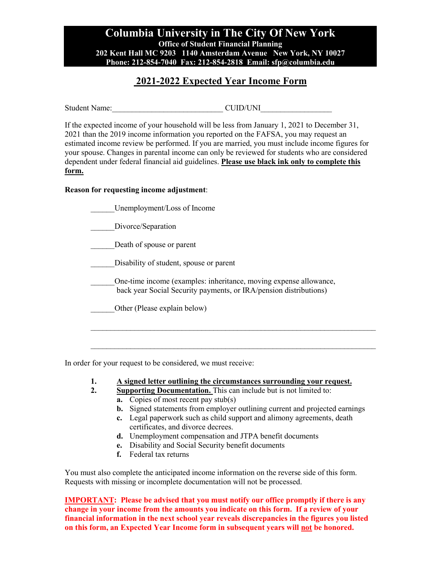## **Columbia University in The City Of New York Office of Student Financial Planning 202 Kent Hall MC 9203 1140 Amsterdam Avenue New York, NY 10027 Phone: 212-854-7040 Fax: 212-854-2818 Email: sfp@columbia.edu**

## **2021-2022 Expected Year Income Form**

Student Name: <br>
CUID/UNI

If the expected income of your household will be less from January 1, 2021 to December 31, 2021 than the 2019 income information you reported on the FAFSA, you may request an estimated income review be performed. If you are married, you must include income figures for your spouse. Changes in parental income can only be reviewed for students who are considered dependent under federal financial aid guidelines. **Please use black ink only to complete this form.** 

#### **Reason for requesting income adjustment**:

| Unemployment/Loss of Income                                                                                                            |  |
|----------------------------------------------------------------------------------------------------------------------------------------|--|
| Divorce/Separation                                                                                                                     |  |
| Death of spouse or parent                                                                                                              |  |
| Disability of student, spouse or parent                                                                                                |  |
| One-time income (examples: inheritance, moving expense allowance,<br>back year Social Security payments, or IRA/pension distributions) |  |
| Other (Please explain below)                                                                                                           |  |
|                                                                                                                                        |  |
|                                                                                                                                        |  |

In order for your request to be considered, we must receive:

- **1. A signed letter outlining the circumstances surrounding your request.**
- **2. Supporting Documentation.** This can include but is not limited to: **a.** Copies of most recent pay stub(s)
	- **b.** Signed statements from employer outlining current and projected earnings
	- **c.** Legal paperwork such as child support and alimony agreements, death certificates, and divorce decrees.
	- **d.** Unemployment compensation and JTPA benefit documents
	- **e.** Disability and Social Security benefit documents
	- **f.** Federal tax returns

You must also complete the anticipated income information on the reverse side of this form. Requests with missing or incomplete documentation will not be processed.

**IMPORTANT:** Please be advised that you must notify our office promptly if there is any **change in your income from the amounts you indicate on this form. If a review of your financial information in the next school year reveals discrepancies in the figures you listed on this form, an Expected Year Income form in subsequent years will not be honored.**